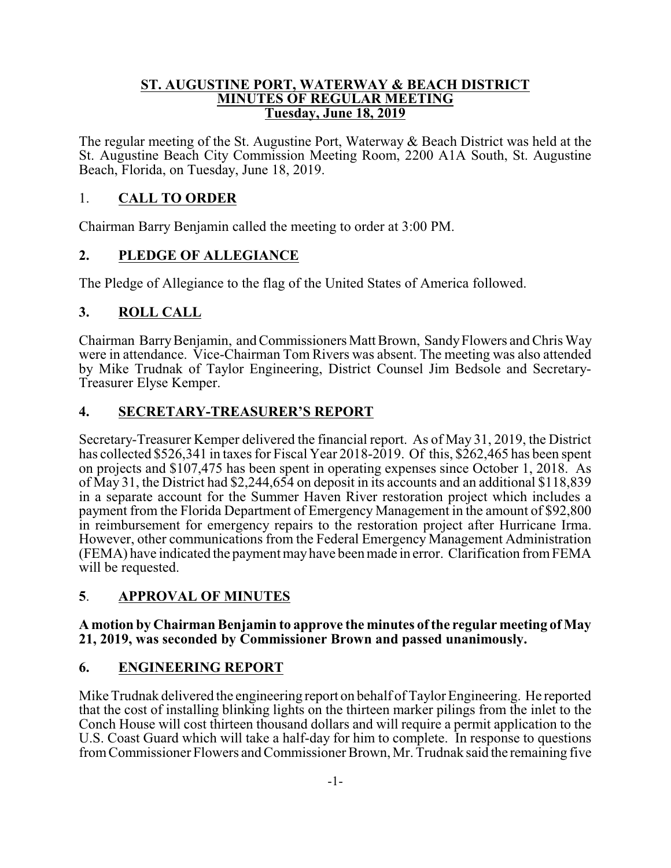#### **ST. AUGUSTINE PORT, WATERWAY & BEACH DISTRICT MINUTES OF REGULAR MEETING Tuesday, June 18, 2019**

The regular meeting of the St. Augustine Port, Waterway & Beach District was held at the St. Augustine Beach City Commission Meeting Room, 2200 A1A South, St. Augustine Beach, Florida, on Tuesday, June 18, 2019.

## 1. **CALL TO ORDER**

Chairman Barry Benjamin called the meeting to order at 3:00 PM.

## **2. PLEDGE OF ALLEGIANCE**

The Pledge of Allegiance to the flag of the United States of America followed.

## **3. ROLL CALL**

Chairman BarryBenjamin, and Commissioners Matt Brown, SandyFlowers and Chris Way were in attendance. Vice-Chairman Tom Rivers was absent. The meeting was also attended by Mike Trudnak of Taylor Engineering, District Counsel Jim Bedsole and Secretary-Treasurer Elyse Kemper.

## **4. SECRETARY-TREASURER'S REPORT**

Secretary-Treasurer Kemper delivered the financial report. As of May 31, 2019, the District has collected \$526,341 in taxes for Fiscal Year 2018-2019. Of this, \$262,465 has been spent on projects and \$107,475 has been spent in operating expenses since October 1, 2018. As of May 31, the District had \$2,244,654 on deposit in its accounts and an additional \$118,839 in a separate account for the Summer Haven River restoration project which includes a payment from the Florida Department of Emergency Management in the amount of \$92,800 in reimbursement for emergency repairs to the restoration project after Hurricane Irma. However, other communications from the Federal Emergency Management Administration (FEMA) have indicated the payment mayhave been made in error. Clarification fromFEMA will be requested.

# **5**. **APPROVAL OF MINUTES**

#### **A motion by Chairman Benjamin to approve the minutes of the regular meeting of May 21, 2019, was seconded by Commissioner Brown and passed unanimously.**

### **6. ENGINEERING REPORT**

Mike Trudnak delivered the engineering report on behalf of Taylor Engineering. He reported that the cost of installing blinking lights on the thirteen marker pilings from the inlet to the Conch House will cost thirteen thousand dollars and will require a permit application to the U.S. Coast Guard which will take a half-day for him to complete. In response to questions fromCommissioner Flowers and Commissioner Brown, Mr. Trudnak said the remaining five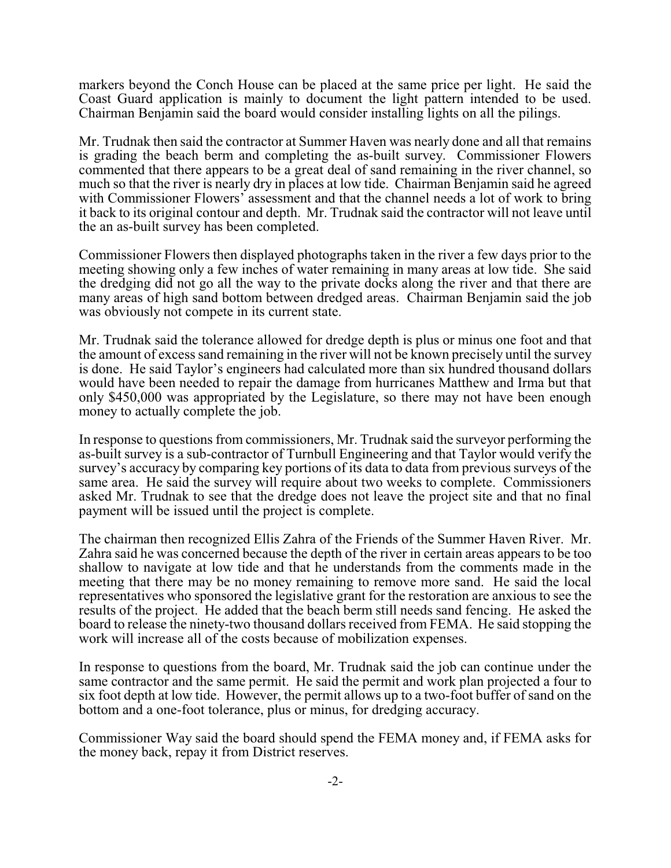markers beyond the Conch House can be placed at the same price per light. He said the Coast Guard application is mainly to document the light pattern intended to be used. Chairman Benjamin said the board would consider installing lights on all the pilings.

Mr. Trudnak then said the contractor at Summer Haven was nearly done and all that remains is grading the beach berm and completing the as-built survey. Commissioner Flowers commented that there appears to be a great deal of sand remaining in the river channel, so much so that the river is nearly dry in places at low tide. Chairman Benjamin said he agreed with Commissioner Flowers' assessment and that the channel needs a lot of work to bring it back to its original contour and depth. Mr. Trudnak said the contractor will not leave until the an as-built survey has been completed.

Commissioner Flowers then displayed photographs taken in the river a few days prior to the meeting showing only a few inches of water remaining in many areas at low tide. She said the dredging did not go all the way to the private docks along the river and that there are many areas of high sand bottom between dredged areas. Chairman Benjamin said the job was obviously not compete in its current state.

Mr. Trudnak said the tolerance allowed for dredge depth is plus or minus one foot and that the amount of excess sand remaining in the river will not be known precisely until the survey is done. He said Taylor's engineers had calculated more than six hundred thousand dollars would have been needed to repair the damage from hurricanes Matthew and Irma but that only \$450,000 was appropriated by the Legislature, so there may not have been enough money to actually complete the job.

In response to questions from commissioners, Mr. Trudnak said the surveyor performing the as-built survey is a sub-contractor of Turnbull Engineering and that Taylor would verify the survey's accuracy by comparing key portions of its data to data from previous surveys of the same area. He said the survey will require about two weeks to complete. Commissioners asked Mr. Trudnak to see that the dredge does not leave the project site and that no final payment will be issued until the project is complete.

The chairman then recognized Ellis Zahra of the Friends of the Summer Haven River. Mr. Zahra said he was concerned because the depth of the river in certain areas appears to be too shallow to navigate at low tide and that he understands from the comments made in the meeting that there may be no money remaining to remove more sand. He said the local representatives who sponsored the legislative grant for the restoration are anxious to see the results of the project. He added that the beach berm still needs sand fencing. He asked the board to release the ninety-two thousand dollars received from FEMA. He said stopping the work will increase all of the costs because of mobilization expenses.

In response to questions from the board, Mr. Trudnak said the job can continue under the same contractor and the same permit. He said the permit and work plan projected a four to six foot depth at low tide. However, the permit allows up to a two-foot buffer of sand on the bottom and a one-foot tolerance, plus or minus, for dredging accuracy.

Commissioner Way said the board should spend the FEMA money and, if FEMA asks for the money back, repay it from District reserves.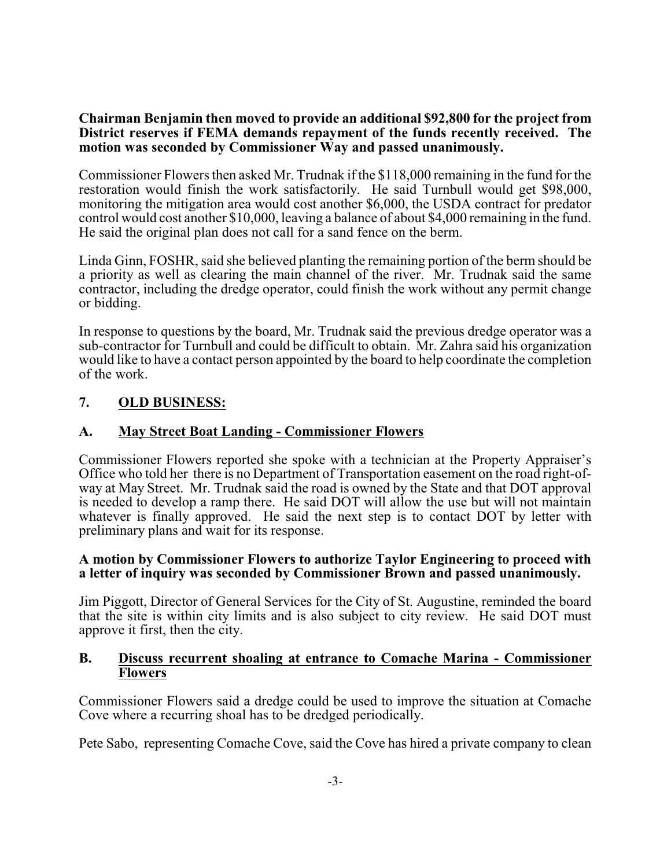#### **Chairman Benjamin then moved to provide an additional \$92,800 for the project from District reserves if FEMA demands repayment of the funds recently received. The motion was seconded by Commissioner Way and passed unanimously.**

Commissioner Flowers then asked Mr. Trudnak if the \$118,000 remaining in the fund for the restoration would finish the work satisfactorily. He said Turnbull would get \$98,000, monitoring the mitigation area would cost another \$6,000, the USDA contract for predator control would cost another \$10,000, leaving a balance of about \$4,000 remaining in the fund. He said the original plan does not call for a sand fence on the berm.

Linda Ginn, FOSHR, said she believed planting the remaining portion of the berm should be a priority as well as clearing the main channel of the river. Mr. Trudnak said the same contractor, including the dredge operator, could finish the work without any permit change or bidding.

In response to questions by the board, Mr. Trudnak said the previous dredge operator was a sub-contractor for Turnbull and could be difficult to obtain. Mr. Zahra said his organization would like to have a contact person appointed by the board to help coordinate the completion of the work.

### **7. OLD BUSINESS:**

## **A. May Street Boat Landing - Commissioner Flowers**

Commissioner Flowers reported she spoke with a technician at the Property Appraiser's Office who told her there is no Department of Transportation easement on the road right-ofway at May Street. Mr. Trudnak said the road is owned by the State and that DOT approval is needed to develop a ramp there. He said DOT will allow the use but will not maintain whatever is finally approved. He said the next step is to contact DOT by letter with preliminary plans and wait for its response.

#### **A motion by Commissioner Flowers to authorize Taylor Engineering to proceed with a letter of inquiry was seconded by Commissioner Brown and passed unanimously.**

Jim Piggott, Director of General Services for the City of St. Augustine, reminded the board that the site is within city limits and is also subject to city review. He said DOT must approve it first, then the city.

#### **B. Discuss recurrent shoaling at entrance to Comache Marina - Commissioner Flowers**

Commissioner Flowers said a dredge could be used to improve the situation at Comache Cove where a recurring shoal has to be dredged periodically.

Pete Sabo, representing Comache Cove, said the Cove has hired a private company to clean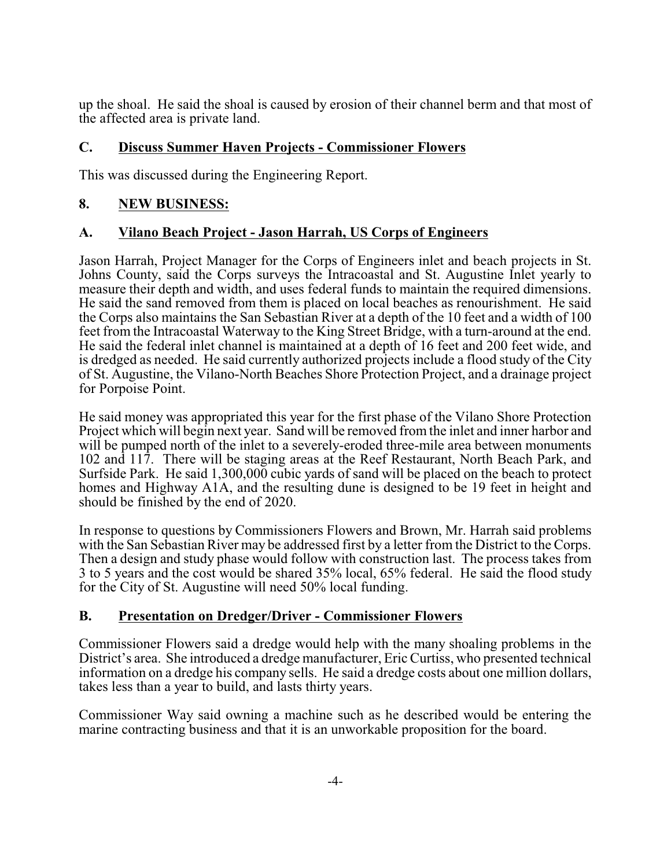up the shoal. He said the shoal is caused by erosion of their channel berm and that most of the affected area is private land.

### **C. Discuss Summer Haven Projects - Commissioner Flowers**

This was discussed during the Engineering Report.

### **8. NEW BUSINESS:**

### **A. Vilano Beach Project - Jason Harrah, US Corps of Engineers**

Jason Harrah, Project Manager for the Corps of Engineers inlet and beach projects in St. Johns County, said the Corps surveys the Intracoastal and St. Augustine Inlet yearly to measure their depth and width, and uses federal funds to maintain the required dimensions. He said the sand removed from them is placed on local beaches as renourishment. He said the Corps also maintains the San Sebastian River at a depth of the 10 feet and a width of 100 feet from the Intracoastal Waterway to the King Street Bridge, with a turn-around at the end. He said the federal inlet channel is maintained at a depth of 16 feet and 200 feet wide, and is dredged as needed. He said currently authorized projects include a flood study of the City of St. Augustine, the Vilano-North Beaches Shore Protection Project, and a drainage project for Porpoise Point.

He said money was appropriated this year for the first phase of the Vilano Shore Protection Project which will begin next year. Sand will be removed from the inlet and inner harbor and will be pumped north of the inlet to a severely-eroded three-mile area between monuments 102 and 117. There will be staging areas at the Reef Restaurant, North Beach Park, and Surfside Park. He said 1,300,000 cubic yards of sand will be placed on the beach to protect homes and Highway A1A, and the resulting dune is designed to be 19 feet in height and should be finished by the end of 2020.

In response to questions by Commissioners Flowers and Brown, Mr. Harrah said problems with the San Sebastian River may be addressed first by a letter from the District to the Corps. Then a design and study phase would follow with construction last. The process takes from 3 to 5 years and the cost would be shared 35% local, 65% federal. He said the flood study for the City of St. Augustine will need 50% local funding.

#### **B. Presentation on Dredger/Driver - Commissioner Flowers**

Commissioner Flowers said a dredge would help with the many shoaling problems in the District's area. She introduced a dredge manufacturer, Eric Curtiss, who presented technical information on a dredge his company sells. He said a dredge costs about one million dollars, takes less than a year to build, and lasts thirty years.

Commissioner Way said owning a machine such as he described would be entering the marine contracting business and that it is an unworkable proposition for the board.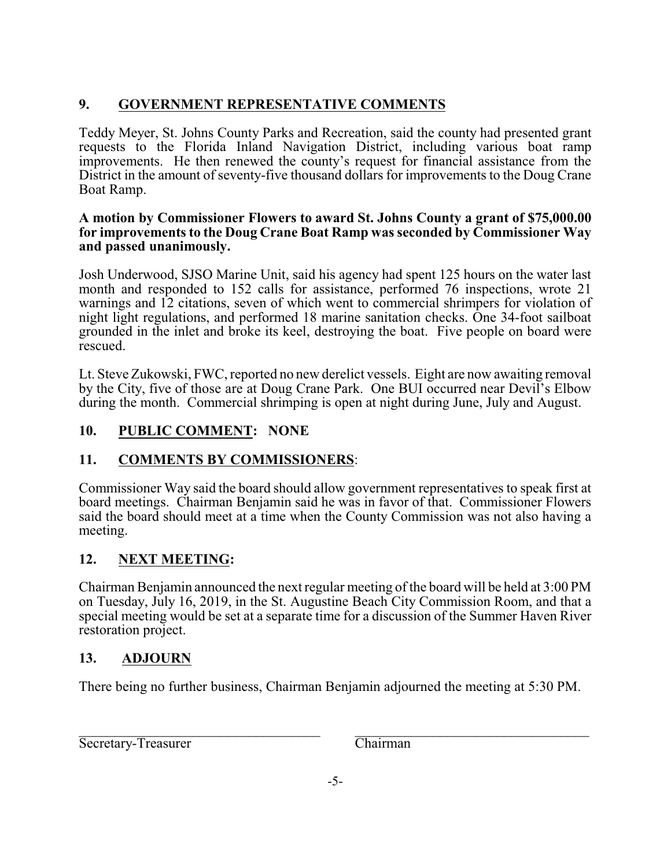# **9. GOVERNMENT REPRESENTATIVE COMMENTS**

Teddy Meyer, St. Johns County Parks and Recreation, said the county had presented grant requests to the Florida Inland Navigation District, including various boat ramp improvements. He then renewed the county's request for financial assistance from the District in the amount of seventy-five thousand dollars for improvements to the Doug Crane Boat Ramp.

#### **A motion by Commissioner Flowers to award St. Johns County a grant of \$75,000.00 for improvements to the Doug Crane Boat Ramp was seconded by Commissioner Way and passed unanimously.**

Josh Underwood, SJSO Marine Unit, said his agency had spent 125 hours on the water last month and responded to 152 calls for assistance, performed 76 inspections, wrote 21 warnings and 12 citations, seven of which went to commercial shrimpers for violation of night light regulations, and performed 18 marine sanitation checks. One 34-foot sailboat grounded in the inlet and broke its keel, destroying the boat. Five people on board were rescued.

Lt. Steve Zukowski, FWC, reported no new derelict vessels. Eight are now awaiting removal by the City, five of those are at Doug Crane Park. One BUI occurred near Devil's Elbow during the month. Commercial shrimping is open at night during June, July and August.

# **10. PUBLIC COMMENT: NONE**

# **11. COMMENTS BY COMMISSIONERS**:

Commissioner Way said the board should allow government representatives to speak first at board meetings. Chairman Benjamin said he was in favor of that. Commissioner Flowers said the board should meet at a time when the County Commission was not also having a meeting.

# **12. NEXT MEETING:**

Chairman Benjamin announced the next regular meeting of the board will be held at 3:00 PM on Tuesday, July 16, 2019, in the St. Augustine Beach City Commission Room, and that a special meeting would be set at a separate time for a discussion of the Summer Haven River restoration project.

# **13. ADJOURN**

There being no further business, Chairman Benjamin adjourned the meeting at 5:30 PM.

\_\_\_\_\_\_\_\_\_\_\_\_\_\_\_\_\_\_\_\_\_\_\_\_\_\_\_\_\_\_\_\_\_\_ \_\_\_\_\_\_\_\_\_\_\_\_\_\_\_\_\_\_\_\_\_\_\_\_\_\_\_\_\_\_\_\_\_ Secretary-Treasurer Chairman